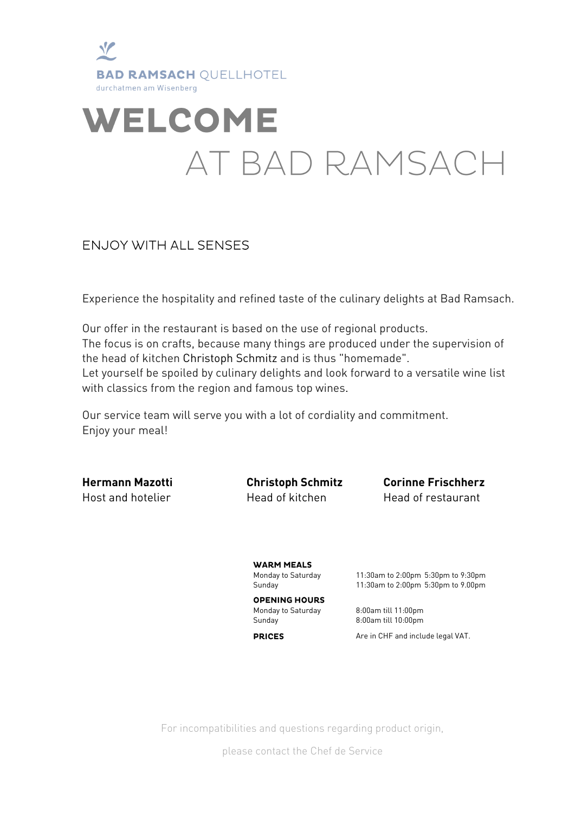

# **WELCOME** AT BAD RAMSACH

#### **ENJOY WITH ALL SENSES**

Experience the hospitality and refined taste of the culinary delights at Bad Ramsach.

Our offer in the restaurant is based on the use of regional products. The focus is on crafts, because many things are produced under the supervision of the head of kitchen Christoph Schmitz and is thus "homemade". Let yourself be spoiled by culinary delights and look forward to a versatile wine list with classics from the region and famous top wines.

Our service team will serve you with a lot of cordiality and commitment. Enjoy your meal!

**Hermann Mazotti Christoph Schmitz Corinne Frischherz** Host and hotelier Head of kitchen Head of restaurant

**WARM MEALS** 

Monday to Saturday 11:30am to 2:00pm 5:30pm to 9:30pm Sunday 11:30am to 2:00pm 5:30pm to 9.00pm

## **OPENING HOURS**

**PRICES** 

Monday to Saturday 8:00am till 11:00pm Sunday 8:00am till 10:00pm

Are in CHF and include legal VAT.

For incompatibilities and questions regarding product origin,

please contact the Chef de Service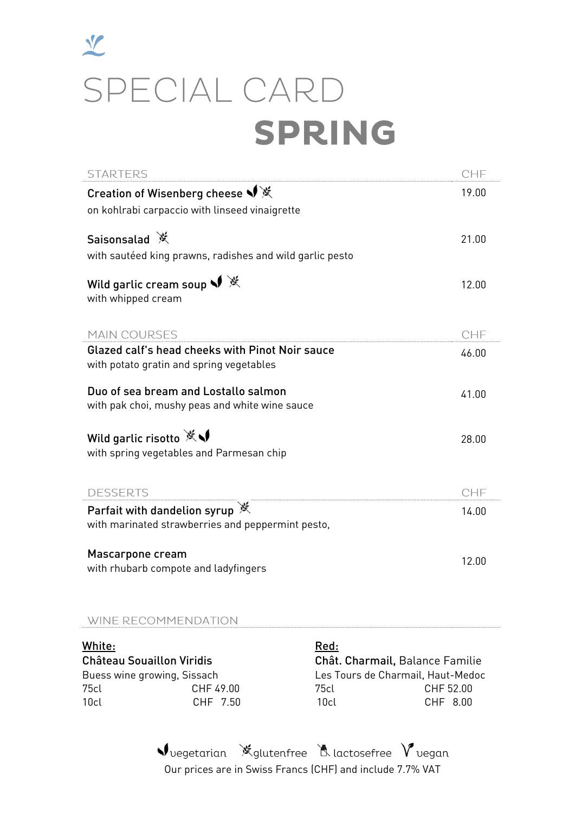## $\frac{1}{2}$ SPECIAL CARD **SPRING**

| <b>STARTERS</b>                                                                             | CHF   |
|---------------------------------------------------------------------------------------------|-------|
| Creation of Wisenberg cheese ♥ ※<br>on kohlrabi carpaccio with linseed vinaigrette          | 19.00 |
| Saisonsalad ※<br>with sautéed king prawns, radishes and wild garlic pesto                   | 21.00 |
| Wild garlic cream soup $\sqrt{\mathbb{X}}$<br>with whipped cream                            | 12.00 |
| <b>MAIN COURSES</b>                                                                         | CHF   |
| Glazed calf's head cheeks with Pinot Noir sauce<br>with potato gratin and spring vegetables | 46.00 |
| Duo of sea bream and Lostallo salmon<br>with pak choi, mushy peas and white wine sauce      | 41.00 |
| Wild garlic risotto ※√<br>with spring vegetables and Parmesan chip                          | 28.00 |
| <b>DESSERTS</b>                                                                             | CHF   |
| Parfait with dandelion syrup ※<br>with marinated strawberries and peppermint pesto,         | 14.00 |
| Mascarpone cream<br>with rhubarb compote and ladyfingers                                    | 12.00 |

#### WINE RECOMMENDATION

White: **Red:** Red: **Red:** Château Souaillon Viridis Chât. Charmail, Balance Familie Buess wine growing, Sissach Les Tours de Charmail, Haut-Medoc 75cl CHF 49.00 75cl CHF 52.00 10cl CHF 7.50 10cl CHF 8.00

Vuegetarian X glutenfree A lactosefree V vegan Our prices are in Swiss Francs (CHF) and include 7.7% VAT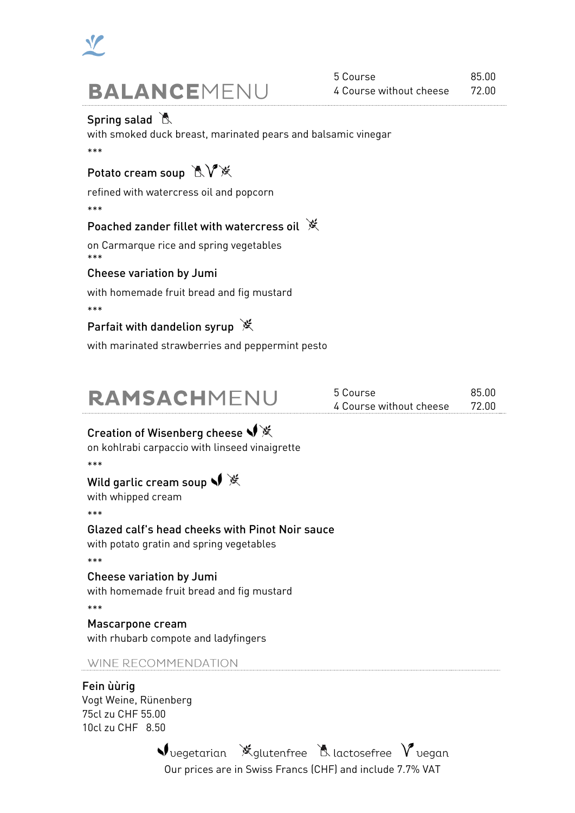

#### Spring salad

with smoked duck breast, marinated pears and balsamic vinegar \*\*\*

## Potato cream soup KV<sup>y</sup>

refined with watercress oil and popcorn

\*\*\*

#### Poached zander fillet with watercress oil ※

on Carmarque rice and spring vegetables \*\*\*

#### Cheese variation by Jumi

with homemade fruit bread and fig mustard

\*\*\*

#### Parfait with dandelion syrup  $*$

with marinated strawberries and peppermint pesto

| RAMSACHMENU | 5 Course                      | 85.00 |
|-------------|-------------------------------|-------|
|             | 4 Course without cheese 72.00 |       |

#### Creation of Wisenberg cheese • ※

on kohlrabi carpaccio with linseed vinaigrette

\*\*\*

### Wild garlic cream soup • ※

with whipped cream

\*\*\*

#### Glazed calf's head cheeks with Pinot Noir sauce

with potato gratin and spring vegetables

\*\*\*

#### Cheese variation by Jumi

with homemade fruit bread and fig mustard

\*\*\*

## Mascarpone cream

with rhubarb compote and ladyfingers

#### WINE RECOMMENDATION

#### Fein ùùrig

Vogt Weine, Rünenberg 75cl zu CHF 55.00 10cl zu CHF 8.50

> $\blacklozenge$  vegetarian  $\mathbb X$  glutenfree  $\mathbb X$  lactosefree  $\blacktriangledown$  vegan Our prices are in Swiss Francs (CHF) and include 7.7% VAT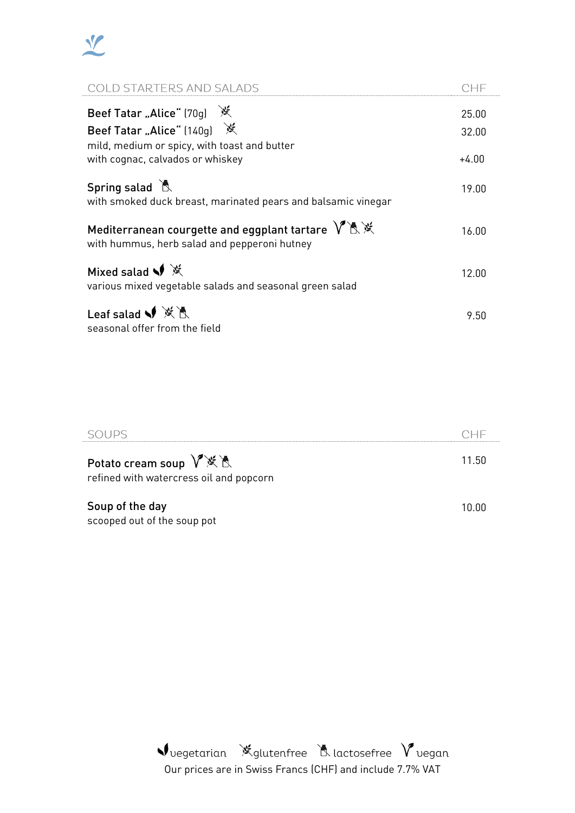

| COLD STARTERS AND SALADS                                                                                                                      | CHE                       |
|-----------------------------------------------------------------------------------------------------------------------------------------------|---------------------------|
| Beef Tatar "Alice" (70g) ※<br>Beef Tatar "Alice" (140g) ※<br>mild, medium or spicy, with toast and butter<br>with cognac, calvados or whiskey | 25.00<br>32.00<br>$+4.00$ |
| Spring salad &<br>with smoked duck breast, marinated pears and balsamic vinegar                                                               | 19.00                     |
| Mediterranean courgette and eggplant tartare $V \mathbb{R} \mathbb{X}$<br>with hummus, herb salad and pepperoni hutney                        | 16.00                     |
| Mixed salad $\sqrt{\frac{1}{X}}$<br>various mixed vegetable salads and seasonal green salad                                                   | 12.00                     |
| Leaf salad $\blacklozenge$ $\mathbb{X}$ $\mathbb{R}$<br>seasonal offer from the field                                                         | 9.50                      |

| Potato cream soup V <sup>*</sup> ※ &<br>refined with watercress oil and popcorn | 11.50 |
|---------------------------------------------------------------------------------|-------|
| Soup of the day<br>scooped out of the soup pot                                  |       |

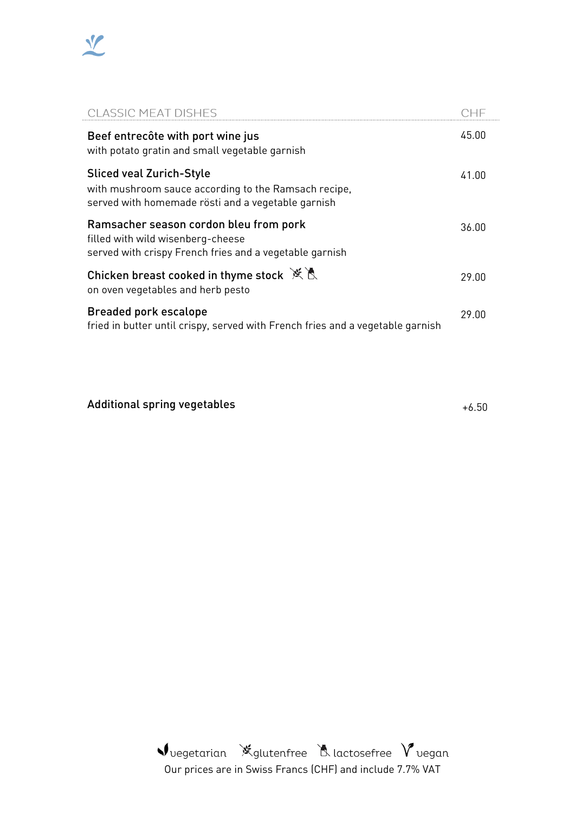

| <b>CLASSIC MEAT DISHES</b>                                                                                                                    | CHE   |
|-----------------------------------------------------------------------------------------------------------------------------------------------|-------|
| Beef entrecôte with port wine jus<br>with potato gratin and small vegetable garnish                                                           | 45.00 |
| <b>Sliced veal Zurich-Style</b><br>with mushroom sauce according to the Ramsach recipe,<br>served with homemade rösti and a vegetable garnish | 41.00 |
| Ramsacher season cordon bleu from pork<br>filled with wild wisenberg-cheese<br>served with crispy French fries and a vegetable garnish        | 36.00 |
| Chicken breast cooked in thyme stock $\mathbb{X} \mathbb{R}$<br>on oven vegetables and herb pesto                                             | 29.00 |
| <b>Breaded pork escalope</b><br>fried in butter until crispy, served with French fries and a vegetable garnish                                | 29.00 |

Additional spring vegetables the control of the control of the control of the control of the control of the control of the control of the control of the control of the control of the control of the control of the control o

Vuegetarian Kglutenfree Alactosefree Vuegan Our prices are in Swiss Francs (CHF) and include 7.7% VAT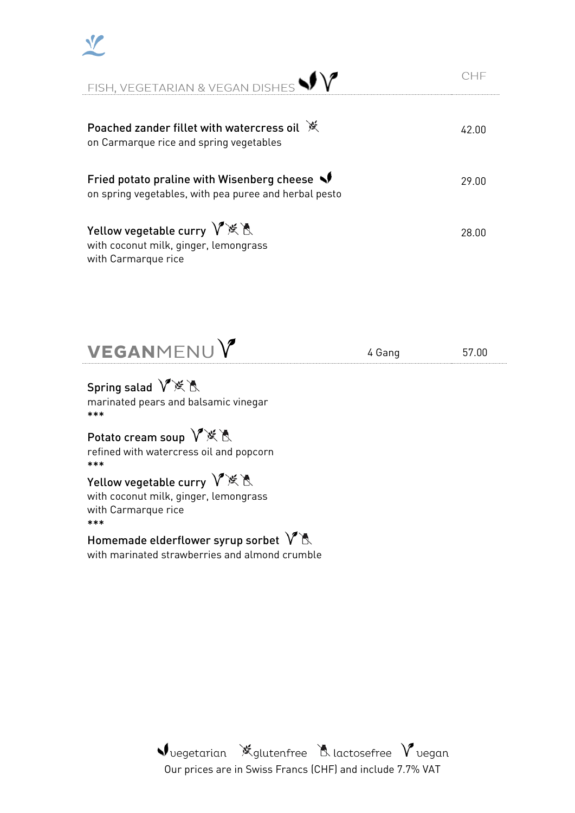| FISH, VEGETARIAN & VEGAN DISHES $\blacklozenge\blacklozenge$                                        |       |
|-----------------------------------------------------------------------------------------------------|-------|
| Poached zander fillet with watercress oil $*$<br>on Carmarque rice and spring vegetables            | 42.00 |
| Fried potato praline with Wisenberg cheese<br>on spring vegetables, with pea puree and herbal pesto | 29.00 |
| Yellow vegetable curry $V$ ※ 人<br>with coconut milk, ginger, lemongrass<br>with Carmarque rice      | 28.00 |

VEGANMENUY

4 Gang 57.00

### Spring salad V<sup>※</sup>&

V

marinated pears and balsamic vinegar \*\*\*

## Potato cream soup  $V$ ※ 人

refined with watercress oil and popcorn \*\*\*

### Yellow vegetable curry  $\sqrt{\mathbb{X}}$

with coconut milk, ginger, lemongrass with Carmarque rice \*\*\*

## Homemade elderflower syrup sorbet  $\sqrt{8}$

with marinated strawberries and almond crumble

Vuegetarian X glutenfree A lactosefree V vegan Our prices are in Swiss Francs (CHF) and include 7.7% VAT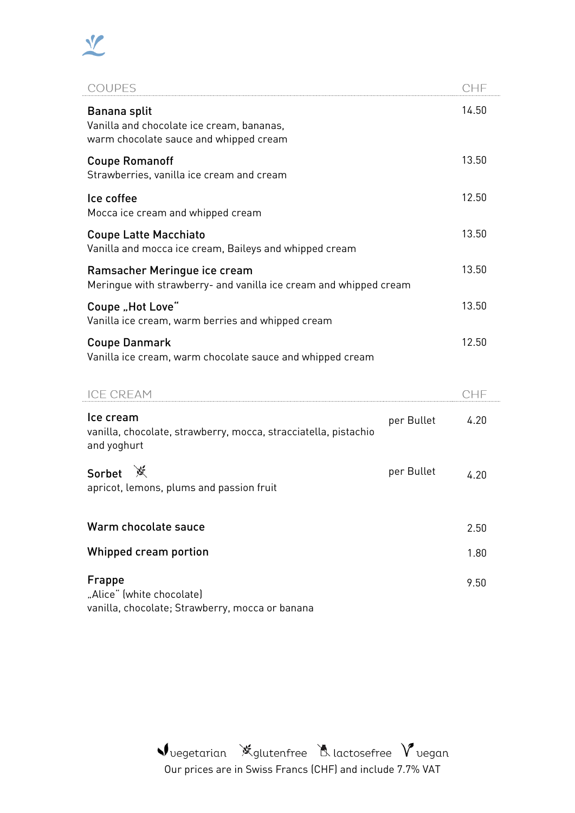

| <b>COUPES</b>                                                                                       | CHF                |
|-----------------------------------------------------------------------------------------------------|--------------------|
| Banana split<br>Vanilla and chocolate ice cream, bananas,<br>warm chocolate sauce and whipped cream | 14.50              |
| <b>Coupe Romanoff</b><br>Strawberries, vanilla ice cream and cream                                  | 13.50              |
| Ice coffee<br>Mocca ice cream and whipped cream                                                     | 12.50              |
| <b>Coupe Latte Macchiato</b><br>Vanilla and mocca ice cream, Baileys and whipped cream              | 13.50              |
| Ramsacher Meringue ice cream<br>Meringue with strawberry- and vanilla ice cream and whipped cream   | 13.50              |
| Coupe "Hot Love"<br>Vanilla ice cream, warm berries and whipped cream                               | 13.50              |
| <b>Coupe Danmark</b><br>Vanilla ice cream, warm chocolate sauce and whipped cream                   | 12.50              |
| <b>ICE CREAM</b>                                                                                    | CHF                |
| Ice cream<br>vanilla, chocolate, strawberry, mocca, stracciatella, pistachio<br>and yoghurt         | 4.20<br>per Bullet |
| Sorbet ※<br>apricot, lemons, plums and passion fruit                                                | per Bullet<br>4.20 |
| Warm chocolate sauce                                                                                | 2.50               |
| Whipped cream portion                                                                               | 1.80               |
| Frappe<br>"Alice" (white chocolate)<br>vanilla, chocolate; Strawberry, mocca or banana              | 9.50               |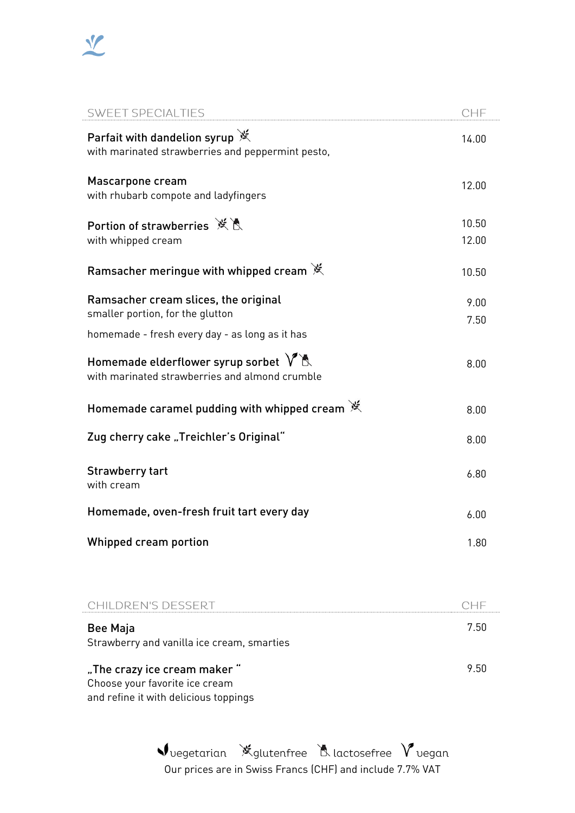

| <b>SWEET SPECIALTIES</b>                                                                                                   | CHF            |
|----------------------------------------------------------------------------------------------------------------------------|----------------|
| Parfait with dandelion syrup X<br>with marinated strawberries and peppermint pesto,                                        | 14.00          |
| Mascarpone cream<br>with rhubarb compote and ladyfingers                                                                   | 12.00          |
| Portion of strawberries ※ A<br>with whipped cream                                                                          | 10.50<br>12.00 |
| Ramsacher meringue with whipped cream $\mathbb X$                                                                          | 10.50          |
| Ramsacher cream slices, the original<br>smaller portion, for the glutton<br>homemade - fresh every day - as long as it has | 9.00<br>7.50   |
| Homemade elderflower syrup sorbet $V$ $\mathbb{R}$<br>with marinated strawberries and almond crumble                       | 8.00           |
| Homemade caramel pudding with whipped cream X                                                                              | 8.00           |
| Zug cherry cake "Treichler's Original"                                                                                     | 8.00           |
| <b>Strawberry tart</b><br>with cream                                                                                       | 6.80           |
| Homemade, oven-fresh fruit tart every day                                                                                  | 6.00           |
| Whipped cream portion                                                                                                      | 1.80           |
|                                                                                                                            |                |
| CHILDREN'S DESSERT                                                                                                         | CHF            |
| <b>Bee Maja</b><br>Strawberry and vanilla ice cream, smarties                                                              | 7.50           |

"The crazy ice cream maker " Choose your favorite ice cream and refine it with delicious toppings

> Vuegetarian X glutenfree A lactosefree V uegan Our prices are in Swiss Francs (CHF) and include 7.7% VAT

9.50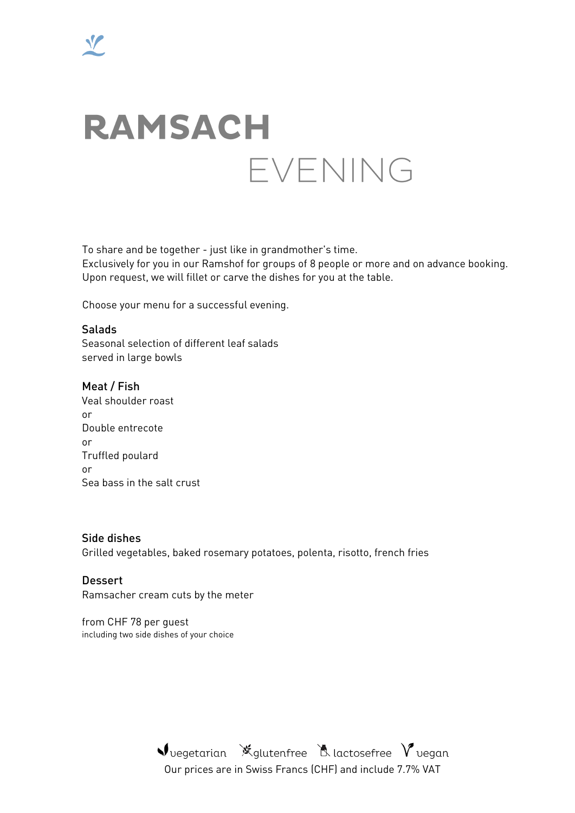# **RAMSACH** EVENING

To share and be together - just like in grandmother's time.

Exclusively for you in our Ramshof for groups of 8 people or more and on advance booking. Upon request, we will fillet or carve the dishes for you at the table.

Choose your menu for a successful evening.

Salads Seasonal selection of different leaf salads served in large bowls

Meat / Fish Veal shoulder roast or Double entrecote or Truffled poulard or Sea bass in the salt crust

Side dishes Grilled vegetables, baked rosemary potatoes, polenta, risotto, french fries

**Dessert** Ramsacher cream cuts by the meter

from CHF 78 per guest including two side dishes of your choice

> Vuegetarian X glutenfree A lactosefree V vegan Our prices are in Swiss Francs (CHF) and include 7.7% VAT